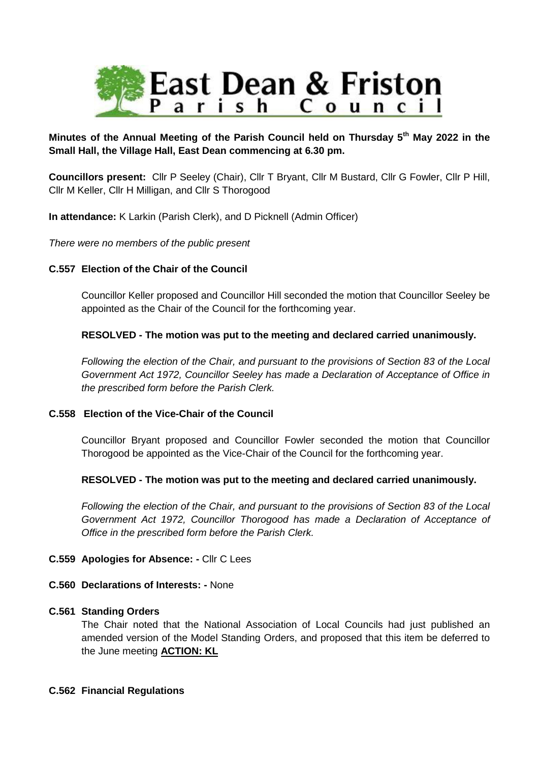

# **Minutes of the Annual Meeting of the Parish Council held on Thursday 5th May 2022 in the Small Hall, the Village Hall, East Dean commencing at 6.30 pm.**

**Councillors present:** Cllr P Seeley (Chair), Cllr T Bryant, Cllr M Bustard, Cllr G Fowler, Cllr P Hill, Cllr M Keller, Cllr H Milligan, and Cllr S Thorogood

**In attendance:** K Larkin (Parish Clerk), and D Picknell (Admin Officer)

*There were no members of the public present*

## **C.557 Election of the Chair of the Council**

Councillor Keller proposed and Councillor Hill seconded the motion that Councillor Seeley be appointed as the Chair of the Council for the forthcoming year.

### **RESOLVED - The motion was put to the meeting and declared carried unanimously.**

*Following the election of the Chair, and pursuant to the provisions of Section 83 of the Local Government Act 1972, Councillor Seeley has made a Declaration of Acceptance of Office in the prescribed form before the Parish Clerk.*

### **C.558 Election of the Vice-Chair of the Council**

Councillor Bryant proposed and Councillor Fowler seconded the motion that Councillor Thorogood be appointed as the Vice-Chair of the Council for the forthcoming year.

### **RESOLVED - The motion was put to the meeting and declared carried unanimously.**

*Following the election of the Chair, and pursuant to the provisions of Section 83 of the Local Government Act 1972, Councillor Thorogood has made a Declaration of Acceptance of Office in the prescribed form before the Parish Clerk.*

### **C.559 Apologies for Absence: -** Cllr C Lees

### **C.560 Declarations of Interests: -** None

### **C.561 Standing Orders**

The Chair noted that the National Association of Local Councils had just published an amended version of the Model Standing Orders, and proposed that this item be deferred to the June meeting **ACTION: KL**

### **C.562 Financial Regulations**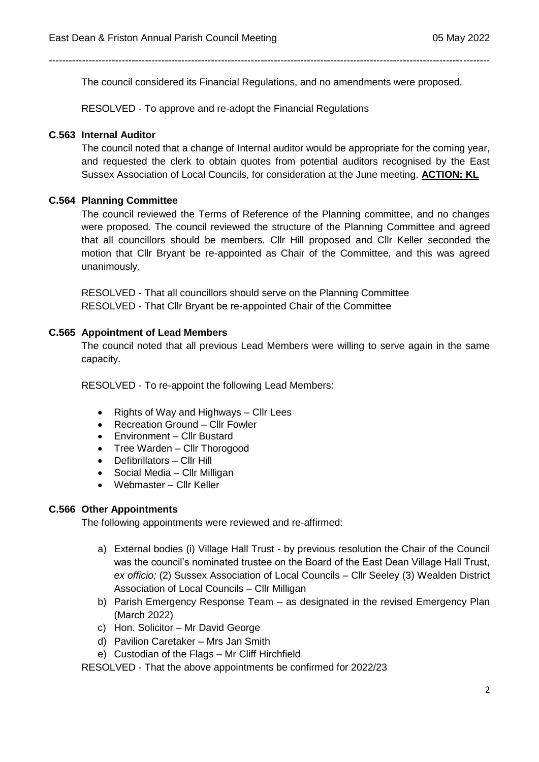The council considered its Financial Regulations, and no amendments were proposed.

-------------------------------------------------------------------------------------------------------------------------------------

RESOLVED - To approve and re-adopt the Financial Regulations

#### **C.563 Internal Auditor**

The council noted that a change of Internal auditor would be appropriate for the coming year, and requested the clerk to obtain quotes from potential auditors recognised by the East Sussex Association of Local Councils, for consideration at the June meeting. **ACTION: KL**

### **C.564 Planning Committee**

The council reviewed the Terms of Reference of the Planning committee, and no changes were proposed. The council reviewed the structure of the Planning Committee and agreed that all councillors should be members. Cllr Hill proposed and Cllr Keller seconded the motion that Cllr Bryant be re-appointed as Chair of the Committee, and this was agreed unanimously.

RESOLVED - That all councillors should serve on the Planning Committee RESOLVED - That Cllr Bryant be re-appointed Chair of the Committee

#### **C.565 Appointment of Lead Members**

The council noted that all previous Lead Members were willing to serve again in the same capacity.

RESOLVED - To re-appoint the following Lead Members:

- Rights of Way and Highways Cllr Lees
- Recreation Ground Cllr Fowler
- Environment Cllr Bustard
- Tree Warden Cllr Thorogood
- Defibrillators Cllr Hill
- Social Media Cllr Milligan
- Webmaster Cllr Keller

#### **C.566 Other Appointments**

The following appointments were reviewed and re-affirmed:

- a) External bodies (i) Village Hall Trust by previous resolution the Chair of the Council was the council's nominated trustee on the Board of the East Dean Village Hall Trust, *ex officio;* (2) Sussex Association of Local Councils – Cllr Seeley (3) Wealden District Association of Local Councils – Cllr Milligan
- b) Parish Emergency Response Team as designated in the revised Emergency Plan (March 2022)
- c) Hon. Solicitor Mr David George
- d) Pavilion Caretaker Mrs Jan Smith
- e) Custodian of the Flags Mr Cliff Hirchfield

RESOLVED - That the above appointments be confirmed for 2022/23